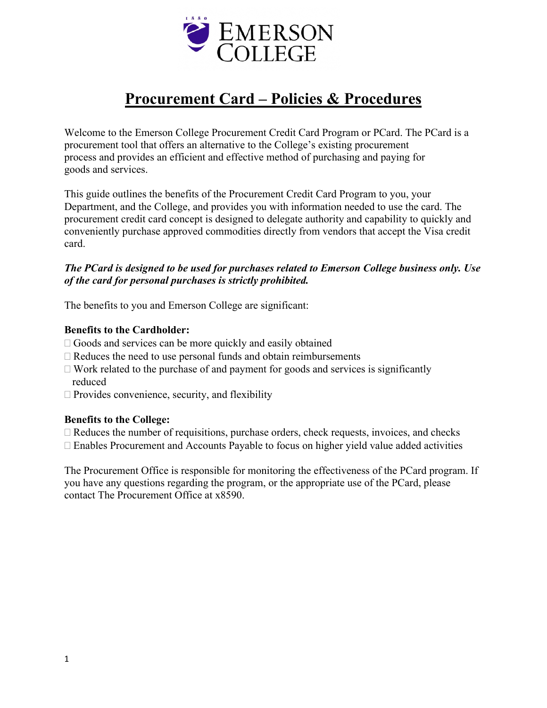

# **Procurement Card – Policies & Procedures**

Welcome to the Emerson College Procurement Credit Card Program or PCard. The PCard is a procurement tool that offers an alternative to the College's existing procurement process and provides an efficient and effective method of purchasing and paying for goods and services.

This guide outlines the benefits of the Procurement Credit Card Program to you, your Department, and the College, and provides you with information needed to use the card. The procurement credit card concept is designed to delegate authority and capability to quickly and conveniently purchase approved commodities directly from vendors that accept the Visa credit card.

# *The PCard is designed to be used for purchases related to Emerson College business only. Use of the card for personal purchases is strictly prohibited.*

The benefits to you and Emerson College are significant:

### **Benefits to the Cardholder:**

- $\Box$  Goods and services can be more quickly and easily obtained
- $\Box$  Reduces the need to use personal funds and obtain reimbursements
- $\Box$  Work related to the purchase of and payment for goods and services is significantly reduced
- $\square$  Provides convenience, security, and flexibility

### **Benefits to the College:**

- $\Box$  Reduces the number of requisitions, purchase orders, check requests, invoices, and checks
- Enables Procurement and Accounts Payable to focus on higher yield value added activities

The Procurement Office is responsible for monitoring the effectiveness of the PCard program. If you have any questions regarding the program, or the appropriate use of the PCard, please contact The Procurement Office at x8590.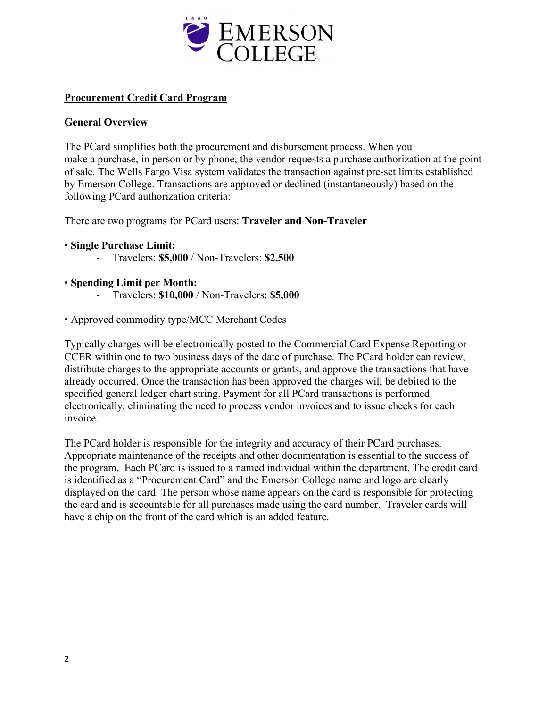

# **Procurement Credit Card Program**

# **General Overview**

The PCard simplifies both the procurement and disbursement process. When you make a purchase, in person or by phone, the vendor requests a purchase authorization at the point of sale. The Wells Fargo Visa system validates the transaction against pre-set limits established by Emerson College. Transactions are approved or declined (instantaneously) based on the following PCard authorization criteria:

There are two programs for PCard users: **Traveler and Non-Traveler**

- **Single Purchase Limit:**
	- Travelers: **\$5,000** / Non-Travelers: **\$2,500**
- **Spending Limit per Month:**
	- Travelers: **\$10,000** / Non-Travelers: **\$5,000**
- Approved commodity type/MCC Merchant Codes

Typically charges will be electronically posted to the Commercial Card Expense Reporting or CCER within one to two business days of the date of purchase. The PCard holder can review, distribute charges to the appropriate accounts or grants, and approve the transactions that have already occurred. Once the transaction has been approved the charges will be debited to the specified general ledger chart string. Payment for all PCard transactions is performed electronically, eliminating the need to process vendor invoices and to issue checks for each invoice.

The PCard holder is responsible for the integrity and accuracy of their PCard purchases. Appropriate maintenance of the receipts and other documentation is essential to the success of the program. Each PCard is issued to a named individual within the department. The credit card is identified as a "Procurement Card" and the Emerson College name and logo are clearly displayed on the card. The person whose name appears on the card is responsible for protecting the card and is accountable for all purchases made using the card number. Traveler cards will have a chip on the front of the card which is an added feature.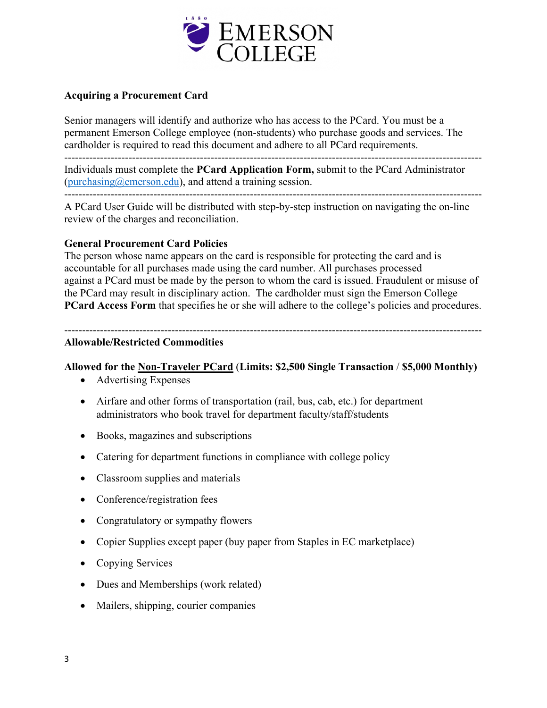

# **Acquiring a Procurement Card**

Senior managers will identify and authorize who has access to the PCard. You must be a permanent Emerson College employee (non-students) who purchase goods and services. The cardholder is required to read this document and adhere to all PCard requirements.

---------------------------------------------------------------------------------------------------------------------

Individuals must complete the **PCard Application Form,** submit to the PCard Administrator [\(purchasing@emerson.edu\)](mailto:purchasing@emerson.edu), and attend a training session.

---------------------------------------------------------------------------------------------------------------------

A PCard User Guide will be distributed with step-by-step instruction on navigating the on-line review of the charges and reconciliation.

### **General Procurement Card Policies**

The person whose name appears on the card is responsible for protecting the card and is accountable for all purchases made using the card number. All purchases processed against a PCard must be made by the person to whom the card is issued. Fraudulent or misuse of the PCard may result in disciplinary action. The cardholder must sign the Emerson College **PCard Access Form** that specifies he or she will adhere to the college's policies and procedures.

#### --------------------------------------------------------------------------------------------------------------------- **Allowable/Restricted Commodities**

### **Allowed for the Non-Traveler PCard** (**Limits: \$2,500 Single Transaction** / **\$5,000 Monthly)**

- Advertising Expenses
- Airfare and other forms of transportation (rail, bus, cab, etc.) for department administrators who book travel for department faculty/staff/students
- Books, magazines and subscriptions
- Catering for department functions in compliance with college policy
- Classroom supplies and materials
- Conference/registration fees
- Congratulatory or sympathy flowers
- Copier Supplies except paper (buy paper from Staples in EC marketplace)
- Copying Services
- Dues and Memberships (work related)
- Mailers, shipping, courier companies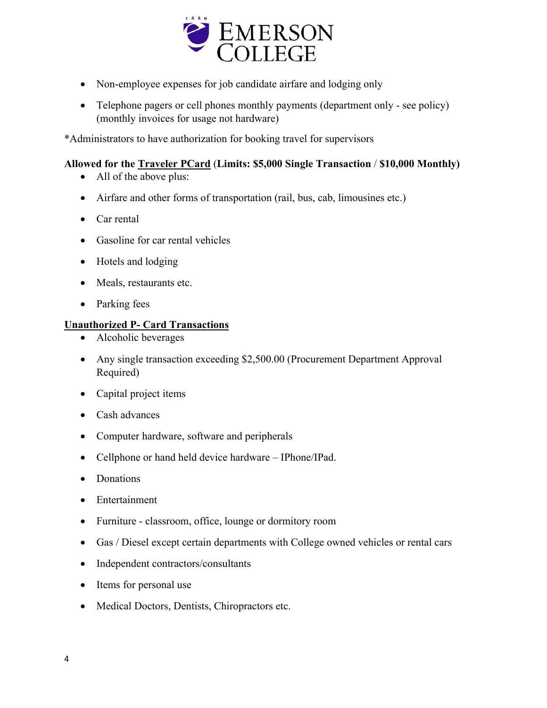

- Non-employee expenses for job candidate airfare and lodging only
- Telephone pagers or cell phones monthly payments (department only see policy) (monthly invoices for usage not hardware)

\*Administrators to have authorization for booking travel for supervisors

# **Allowed for the Traveler PCard** (**Limits: \$5,000 Single Transaction** / **\$10,000 Monthly)**

- All of the above plus:
- Airfare and other forms of transportation (rail, bus, cab, limousines etc.)
- Car rental
- Gasoline for car rental vehicles
- Hotels and lodging
- Meals, restaurants etc.
- Parking fees

# **Unauthorized P- Card Transactions**

- Alcoholic beverages
- Any single transaction exceeding \$2,500.00 (Procurement Department Approval Required)
- Capital project items
- Cash advances
- Computer hardware, software and peripherals
- Cellphone or hand held device hardware IPhone/IPad.
- Donations
- Entertainment
- Furniture classroom, office, lounge or dormitory room
- Gas / Diesel except certain departments with College owned vehicles or rental cars
- Independent contractors/consultants
- Items for personal use
- Medical Doctors, Dentists, Chiropractors etc.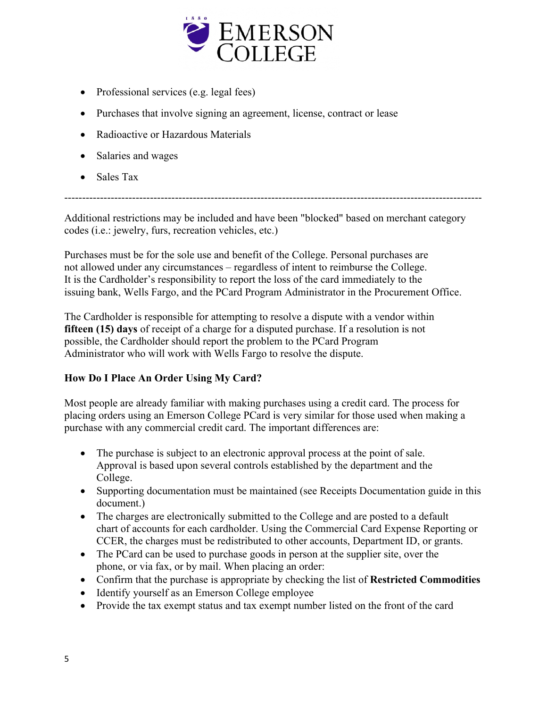

- Professional services (e.g. legal fees)
- Purchases that involve signing an agreement, license, contract or lease
- Radioactive or Hazardous Materials
- Salaries and wages
- Sales Tax

Additional restrictions may be included and have been "blocked" based on merchant category codes (i.e.: jewelry, furs, recreation vehicles, etc.)

---------------------------------------------------------------------------------------------------------------------

Purchases must be for the sole use and benefit of the College. Personal purchases are not allowed under any circumstances – regardless of intent to reimburse the College. It is the Cardholder's responsibility to report the loss of the card immediately to the issuing bank, Wells Fargo, and the PCard Program Administrator in the Procurement Office.

The Cardholder is responsible for attempting to resolve a dispute with a vendor within **fifteen (15) days** of receipt of a charge for a disputed purchase. If a resolution is not possible, the Cardholder should report the problem to the PCard Program Administrator who will work with Wells Fargo to resolve the dispute.

# **How Do I Place An Order Using My Card?**

Most people are already familiar with making purchases using a credit card. The process for placing orders using an Emerson College PCard is very similar for those used when making a purchase with any commercial credit card. The important differences are:

- The purchase is subject to an electronic approval process at the point of sale. Approval is based upon several controls established by the department and the College.
- Supporting documentation must be maintained (see Receipts Documentation guide in this document.)
- The charges are electronically submitted to the College and are posted to a default chart of accounts for each cardholder. Using the Commercial Card Expense Reporting or CCER, the charges must be redistributed to other accounts, Department ID, or grants.
- The PCard can be used to purchase goods in person at the supplier site, over the phone, or via fax, or by mail. When placing an order:
- Confirm that the purchase is appropriate by checking the list of **Restricted Commodities**
- Identify yourself as an Emerson College employee
- Provide the tax exempt status and tax exempt number listed on the front of the card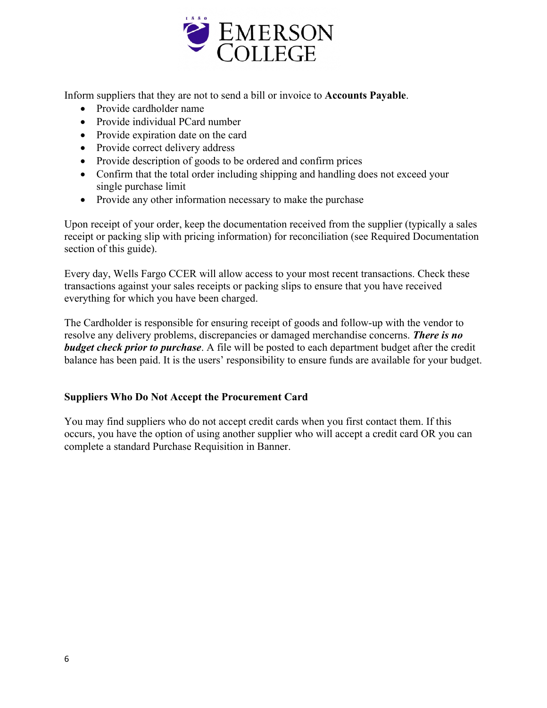

Inform suppliers that they are not to send a bill or invoice to **Accounts Payable**.

- Provide cardholder name
- Provide individual PCard number
- Provide expiration date on the card
- Provide correct delivery address
- Provide description of goods to be ordered and confirm prices
- Confirm that the total order including shipping and handling does not exceed your single purchase limit
- Provide any other information necessary to make the purchase

Upon receipt of your order, keep the documentation received from the supplier (typically a sales receipt or packing slip with pricing information) for reconciliation (see Required Documentation section of this guide).

Every day, Wells Fargo CCER will allow access to your most recent transactions. Check these transactions against your sales receipts or packing slips to ensure that you have received everything for which you have been charged.

The Cardholder is responsible for ensuring receipt of goods and follow-up with the vendor to resolve any delivery problems, discrepancies or damaged merchandise concerns. *There is no budget check prior to purchase*. A file will be posted to each department budget after the credit balance has been paid. It is the users' responsibility to ensure funds are available for your budget.

# **Suppliers Who Do Not Accept the Procurement Card**

You may find suppliers who do not accept credit cards when you first contact them. If this occurs, you have the option of using another supplier who will accept a credit card OR you can complete a standard Purchase Requisition in Banner.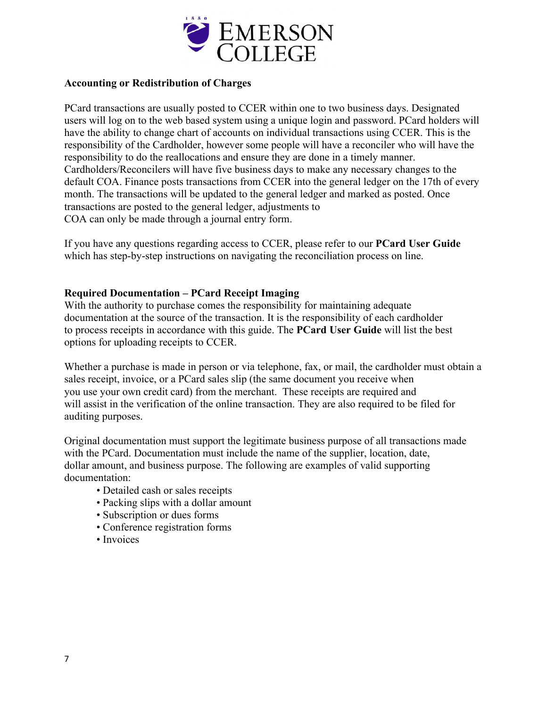

### **Accounting or Redistribution of Charges**

PCard transactions are usually posted to CCER within one to two business days. Designated users will log on to the web based system using a unique login and password. PCard holders will have the ability to change chart of accounts on individual transactions using CCER. This is the responsibility of the Cardholder, however some people will have a reconciler who will have the responsibility to do the reallocations and ensure they are done in a timely manner. Cardholders/Reconcilers will have five business days to make any necessary changes to the default COA. Finance posts transactions from CCER into the general ledger on the 17th of every month. The transactions will be updated to the general ledger and marked as posted. Once transactions are posted to the general ledger, adjustments to COA can only be made through a journal entry form.

If you have any questions regarding access to CCER, please refer to our **PCard User Guide** which has step-by-step instructions on navigating the reconciliation process on line.

### **Required Documentation – PCard Receipt Imaging**

With the authority to purchase comes the responsibility for maintaining adequate documentation at the source of the transaction. It is the responsibility of each cardholder to process receipts in accordance with this guide. The **PCard User Guide** will list the best options for uploading receipts to CCER.

Whether a purchase is made in person or via telephone, fax, or mail, the cardholder must obtain a sales receipt, invoice, or a PCard sales slip (the same document you receive when you use your own credit card) from the merchant. These receipts are required and will assist in the verification of the online transaction. They are also required to be filed for auditing purposes.

Original documentation must support the legitimate business purpose of all transactions made with the PCard. Documentation must include the name of the supplier, location, date, dollar amount, and business purpose. The following are examples of valid supporting documentation:

- Detailed cash or sales receipts
- Packing slips with a dollar amount
- Subscription or dues forms
- Conference registration forms
- Invoices